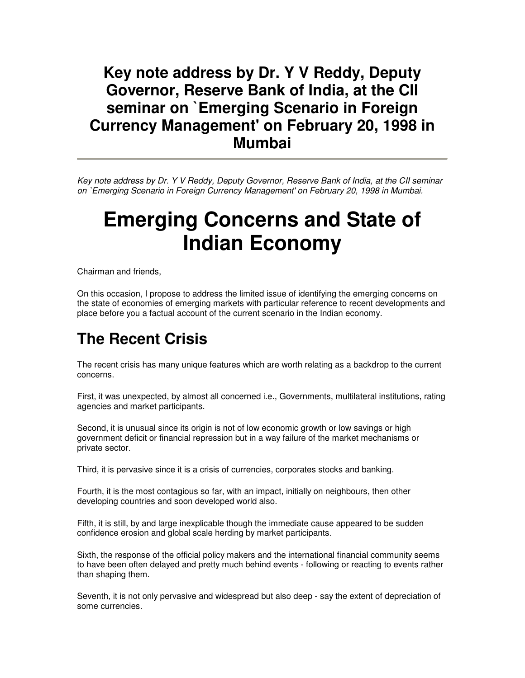#### **Key note address by Dr. Y V Reddy, Deputy Governor, Reserve Bank of India, at the CII seminar on `Emerging Scenario in Foreign Currency Management' on February 20, 1998 in Mumbai**

Key note address by Dr. Y V Reddy, Deputy Governor, Reserve Bank of India, at the CII seminar on `Emerging Scenario in Foreign Currency Management' on February 20, 1998 in Mumbai.

# **Emerging Concerns and State of Indian Economy**

Chairman and friends,

On this occasion, I propose to address the limited issue of identifying the emerging concerns on the state of economies of emerging markets with particular reference to recent developments and place before you a factual account of the current scenario in the Indian economy.

### **The Recent Crisis**

The recent crisis has many unique features which are worth relating as a backdrop to the current concerns.

First, it was unexpected, by almost all concerned i.e., Governments, multilateral institutions, rating agencies and market participants.

Second, it is unusual since its origin is not of low economic growth or low savings or high government deficit or financial repression but in a way failure of the market mechanisms or private sector.

Third, it is pervasive since it is a crisis of currencies, corporates stocks and banking.

Fourth, it is the most contagious so far, with an impact, initially on neighbours, then other developing countries and soon developed world also.

Fifth, it is still, by and large inexplicable though the immediate cause appeared to be sudden confidence erosion and global scale herding by market participants.

Sixth, the response of the official policy makers and the international financial community seems to have been often delayed and pretty much behind events - following or reacting to events rather than shaping them.

Seventh, it is not only pervasive and widespread but also deep - say the extent of depreciation of some currencies.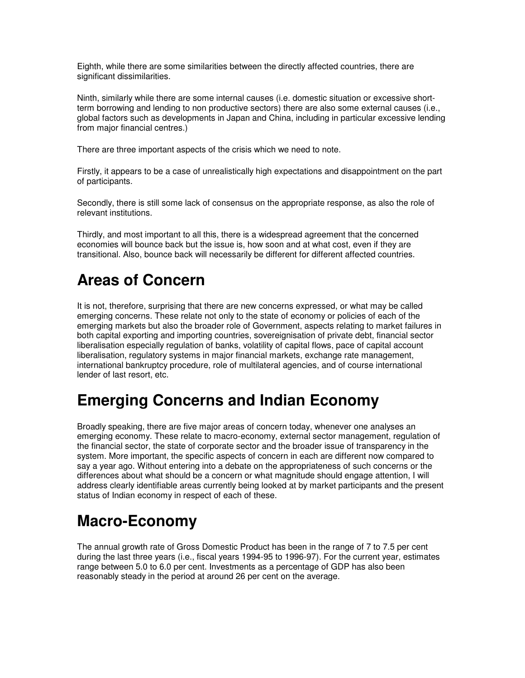Eighth, while there are some similarities between the directly affected countries, there are significant dissimilarities.

Ninth, similarly while there are some internal causes (i.e. domestic situation or excessive shortterm borrowing and lending to non productive sectors) there are also some external causes (i.e., global factors such as developments in Japan and China, including in particular excessive lending from major financial centres.)

There are three important aspects of the crisis which we need to note.

Firstly, it appears to be a case of unrealistically high expectations and disappointment on the part of participants.

Secondly, there is still some lack of consensus on the appropriate response, as also the role of relevant institutions.

Thirdly, and most important to all this, there is a widespread agreement that the concerned economies will bounce back but the issue is, how soon and at what cost, even if they are transitional. Also, bounce back will necessarily be different for different affected countries.

# **Areas of Concern**

It is not, therefore, surprising that there are new concerns expressed, or what may be called emerging concerns. These relate not only to the state of economy or policies of each of the emerging markets but also the broader role of Government, aspects relating to market failures in both capital exporting and importing countries, sovereignisation of private debt, financial sector liberalisation especially regulation of banks, volatility of capital flows, pace of capital account liberalisation, regulatory systems in major financial markets, exchange rate management, international bankruptcy procedure, role of multilateral agencies, and of course international lender of last resort, etc.

#### **Emerging Concerns and Indian Economy**

Broadly speaking, there are five major areas of concern today, whenever one analyses an emerging economy. These relate to macro-economy, external sector management, regulation of the financial sector, the state of corporate sector and the broader issue of transparency in the system. More important, the specific aspects of concern in each are different now compared to say a year ago. Without entering into a debate on the appropriateness of such concerns or the differences about what should be a concern or what magnitude should engage attention, I will address clearly identifiable areas currently being looked at by market participants and the present status of Indian economy in respect of each of these.

# **Macro-Economy**

The annual growth rate of Gross Domestic Product has been in the range of 7 to 7.5 per cent during the last three years (i.e., fiscal years 1994-95 to 1996-97). For the current year, estimates range between 5.0 to 6.0 per cent. Investments as a percentage of GDP has also been reasonably steady in the period at around 26 per cent on the average.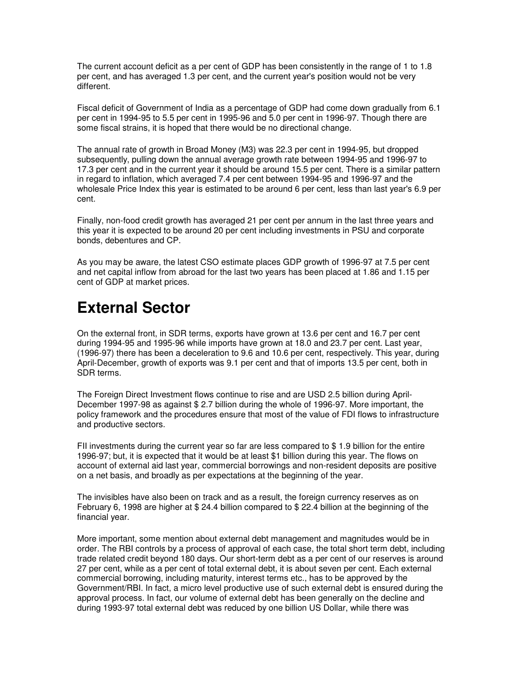The current account deficit as a per cent of GDP has been consistently in the range of 1 to 1.8 per cent, and has averaged 1.3 per cent, and the current year's position would not be very different.

Fiscal deficit of Government of India as a percentage of GDP had come down gradually from 6.1 per cent in 1994-95 to 5.5 per cent in 1995-96 and 5.0 per cent in 1996-97. Though there are some fiscal strains, it is hoped that there would be no directional change.

The annual rate of growth in Broad Money (M3) was 22.3 per cent in 1994-95, but dropped subsequently, pulling down the annual average growth rate between 1994-95 and 1996-97 to 17.3 per cent and in the current year it should be around 15.5 per cent. There is a similar pattern in regard to inflation, which averaged 7.4 per cent between 1994-95 and 1996-97 and the wholesale Price Index this year is estimated to be around 6 per cent, less than last year's 6.9 per cent.

Finally, non-food credit growth has averaged 21 per cent per annum in the last three years and this year it is expected to be around 20 per cent including investments in PSU and corporate bonds, debentures and CP.

As you may be aware, the latest CSO estimate places GDP growth of 1996-97 at 7.5 per cent and net capital inflow from abroad for the last two years has been placed at 1.86 and 1.15 per cent of GDP at market prices.

## **External Sector**

On the external front, in SDR terms, exports have grown at 13.6 per cent and 16.7 per cent during 1994-95 and 1995-96 while imports have grown at 18.0 and 23.7 per cent. Last year, (1996-97) there has been a deceleration to 9.6 and 10.6 per cent, respectively. This year, during April-December, growth of exports was 9.1 per cent and that of imports 13.5 per cent, both in SDR terms.

The Foreign Direct Investment flows continue to rise and are USD 2.5 billion during April-December 1997-98 as against \$ 2.7 billion during the whole of 1996-97. More important, the policy framework and the procedures ensure that most of the value of FDI flows to infrastructure and productive sectors.

FII investments during the current year so far are less compared to \$ 1.9 billion for the entire 1996-97; but, it is expected that it would be at least \$1 billion during this year. The flows on account of external aid last year, commercial borrowings and non-resident deposits are positive on a net basis, and broadly as per expectations at the beginning of the year.

The invisibles have also been on track and as a result, the foreign currency reserves as on February 6, 1998 are higher at \$ 24.4 billion compared to \$ 22.4 billion at the beginning of the financial year.

More important, some mention about external debt management and magnitudes would be in order. The RBI controls by a process of approval of each case, the total short term debt, including trade related credit beyond 180 days. Our short-term debt as a per cent of our reserves is around 27 per cent, while as a per cent of total external debt, it is about seven per cent. Each external commercial borrowing, including maturity, interest terms etc., has to be approved by the Government/RBI. In fact, a micro level productive use of such external debt is ensured during the approval process. In fact, our volume of external debt has been generally on the decline and during 1993-97 total external debt was reduced by one billion US Dollar, while there was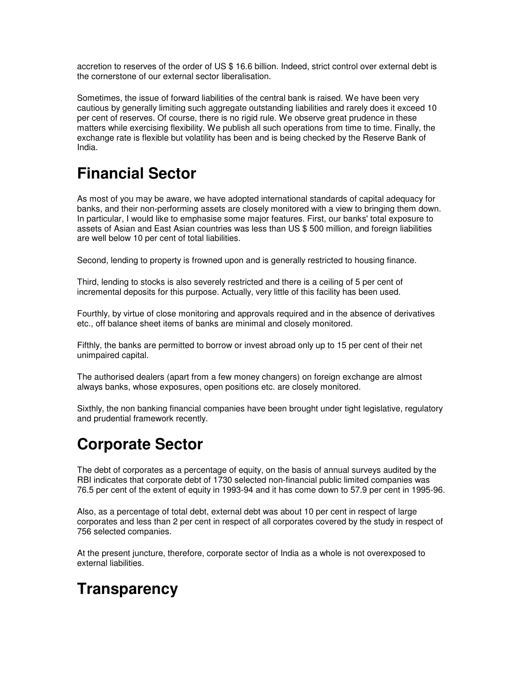accretion to reserves of the order of US \$ 16.6 billion. Indeed, strict control over external debt is the cornerstone of our external sector liberalisation.

Sometimes, the issue of forward liabilities of the central bank is raised. We have been very cautious by generally limiting such aggregate outstanding liabilities and rarely does it exceed 10 per cent of reserves. Of course, there is no rigid rule. We observe great prudence in these matters while exercising flexibility. We publish all such operations from time to time. Finally, the exchange rate is flexible but volatility has been and is being checked by the Reserve Bank of India.

## **Financial Sector**

As most of you may be aware, we have adopted international standards of capital adequacy for banks, and their non-performing assets are closely monitored with a view to bringing them down. In particular, I would like to emphasise some major features. First, our banks' total exposure to assets of Asian and East Asian countries was less than US \$ 500 million, and foreign liabilities are well below 10 per cent of total liabilities.

Second, lending to property is frowned upon and is generally restricted to housing finance.

Third, lending to stocks is also severely restricted and there is a ceiling of 5 per cent of incremental deposits for this purpose. Actually, very little of this facility has been used.

Fourthly, by virtue of close monitoring and approvals required and in the absence of derivatives etc., off balance sheet items of banks are minimal and closely monitored.

Fifthly, the banks are permitted to borrow or invest abroad only up to 15 per cent of their net unimpaired capital.

The authorised dealers (apart from a few money changers) on foreign exchange are almost always banks, whose exposures, open positions etc. are closely monitored.

Sixthly, the non banking financial companies have been brought under tight legislative, regulatory and prudential framework recently.

#### **Corporate Sector**

The debt of corporates as a percentage of equity, on the basis of annual surveys audited by the RBI indicates that corporate debt of 1730 selected non-financial public limited companies was 76.5 per cent of the extent of equity in 1993-94 and it has come down to 57.9 per cent in 1995-96.

Also, as a percentage of total debt, external debt was about 10 per cent in respect of large corporates and less than 2 per cent in respect of all corporates covered by the study in respect of 756 selected companies.

At the present juncture, therefore, corporate sector of India as a whole is not overexposed to external liabilities.

# **Transparency**